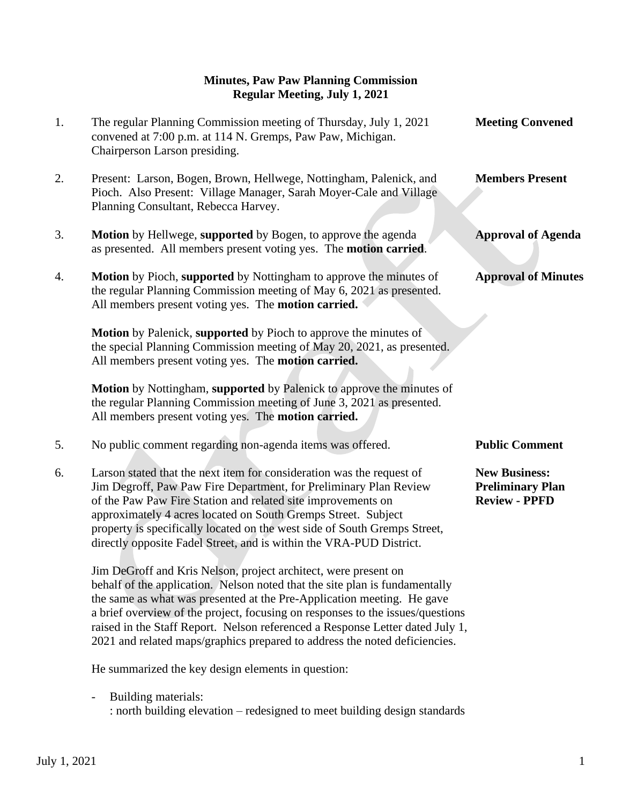## **Minutes, Paw Paw Planning Commission Regular Meeting, July 1, 2021**

| 1. | The regular Planning Commission meeting of Thursday, July 1, 2021<br>convened at 7:00 p.m. at 114 N. Gremps, Paw Paw, Michigan.<br>Chairperson Larson presiding.                                                                                                                                                                                                                                                                | <b>Meeting Convened</b>                                                 |
|----|---------------------------------------------------------------------------------------------------------------------------------------------------------------------------------------------------------------------------------------------------------------------------------------------------------------------------------------------------------------------------------------------------------------------------------|-------------------------------------------------------------------------|
| 2. | Present: Larson, Bogen, Brown, Hellwege, Nottingham, Palenick, and<br>Pioch. Also Present: Village Manager, Sarah Moyer-Cale and Village<br>Planning Consultant, Rebecca Harvey.                                                                                                                                                                                                                                                | <b>Members Present</b>                                                  |
| 3. | Motion by Hellwege, supported by Bogen, to approve the agenda<br>as presented. All members present voting yes. The motion carried.                                                                                                                                                                                                                                                                                              | <b>Approval of Agenda</b>                                               |
| 4. | Motion by Pioch, supported by Nottingham to approve the minutes of<br>the regular Planning Commission meeting of May 6, 2021 as presented.<br>All members present voting yes. The motion carried.                                                                                                                                                                                                                               | <b>Approval of Minutes</b>                                              |
|    | Motion by Palenick, supported by Pioch to approve the minutes of<br>the special Planning Commission meeting of May 20, 2021, as presented.<br>All members present voting yes. The motion carried.                                                                                                                                                                                                                               |                                                                         |
|    | Motion by Nottingham, supported by Palenick to approve the minutes of<br>the regular Planning Commission meeting of June 3, 2021 as presented.<br>All members present voting yes. The motion carried.                                                                                                                                                                                                                           |                                                                         |
| 5. | No public comment regarding non-agenda items was offered.                                                                                                                                                                                                                                                                                                                                                                       | <b>Public Comment</b>                                                   |
| 6. | Larson stated that the next item for consideration was the request of<br>Jim Degroff, Paw Paw Fire Department, for Preliminary Plan Review<br>of the Paw Paw Fire Station and related site improvements on<br>approximately 4 acres located on South Gremps Street. Subject<br>property is specifically located on the west side of South Gremps Street,<br>directly opposite Fadel Street, and is within the VRA-PUD District. | <b>New Business:</b><br><b>Preliminary Plan</b><br><b>Review - PPFD</b> |
|    | Jim DeGroff and Kris Nelson, project architect, were present on<br>behalf of the application. Nelson noted that the site plan is fundamentally<br>the same as what was presented at the Pre-Application meeting. He gave<br>a brief overview of the project, focusing on responses to the issues/questions<br>raised in the Staff Report. Nelson referenced a Response Letter dated July 1,                                     |                                                                         |

He summarized the key design elements in question:

- Building materials: : north building elevation – redesigned to meet building design standards

2021 and related maps/graphics prepared to address the noted deficiencies.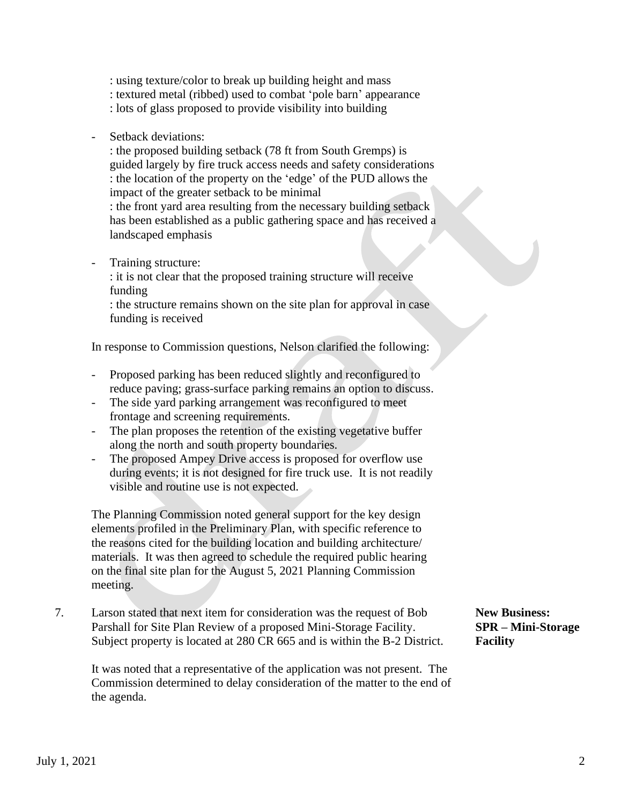: using texture/color to break up building height and mass : textured metal (ribbed) used to combat 'pole barn' appearance : lots of glass proposed to provide visibility into building

Setback deviations:

: the proposed building setback (78 ft from South Gremps) is guided largely by fire truck access needs and safety considerations : the location of the property on the 'edge' of the PUD allows the impact of the greater setback to be minimal

: the front yard area resulting from the necessary building setback has been established as a public gathering space and has received a landscaped emphasis

Training structure:

: it is not clear that the proposed training structure will receive funding

: the structure remains shown on the site plan for approval in case funding is received

In response to Commission questions, Nelson clarified the following:

- Proposed parking has been reduced slightly and reconfigured to reduce paving; grass-surface parking remains an option to discuss.
- The side yard parking arrangement was reconfigured to meet frontage and screening requirements.
- The plan proposes the retention of the existing vegetative buffer along the north and south property boundaries.
- The proposed Ampey Drive access is proposed for overflow use during events; it is not designed for fire truck use. It is not readily visible and routine use is not expected.

 The Planning Commission noted general support for the key design elements profiled in the Preliminary Plan, with specific reference to the reasons cited for the building location and building architecture/ materials. It was then agreed to schedule the required public hearing on the final site plan for the August 5, 2021 Planning Commission meeting.

7. Larson stated that next item for consideration was the request of Bob **New Business:** Parshall for Site Plan Review of a proposed Mini-Storage Facility. **SPR – Mini-Storage** Subject property is located at 280 CR 665 and is within the B-2 District. **Facility**

 It was noted that a representative of the application was not present. The Commission determined to delay consideration of the matter to the end of the agenda.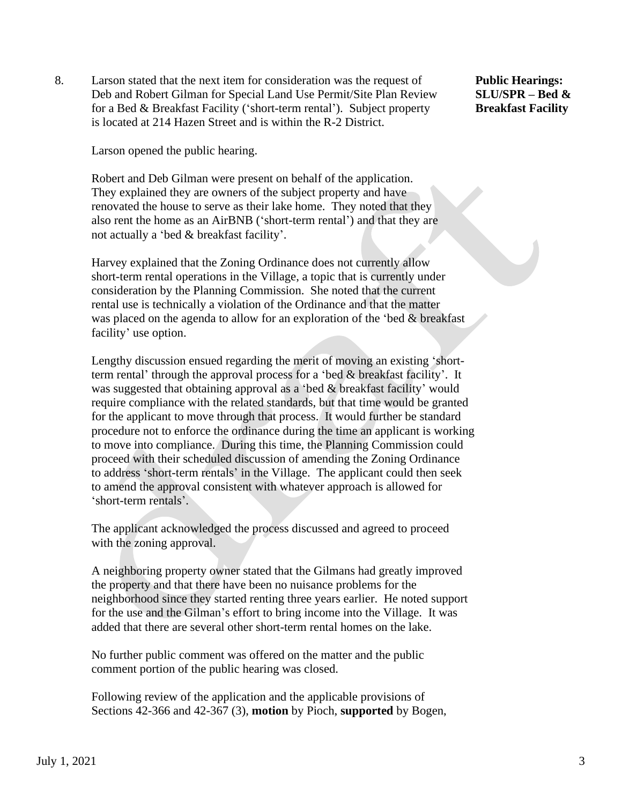8. Larson stated that the next item for consideration was the request of **Public Hearings:** Deb and Robert Gilman for Special Land Use Permit/Site Plan Review **SLU/SPR – Bed &** for a Bed & Breakfast Facility ('short-term rental'). Subject property **Breakfast Facility** is located at 214 Hazen Street and is within the R-2 District.

Larson opened the public hearing.

 Robert and Deb Gilman were present on behalf of the application. They explained they are owners of the subject property and have renovated the house to serve as their lake home. They noted that they also rent the home as an AirBNB ('short-term rental') and that they are not actually a 'bed & breakfast facility'.

 Harvey explained that the Zoning Ordinance does not currently allow short-term rental operations in the Village, a topic that is currently under consideration by the Planning Commission. She noted that the current rental use is technically a violation of the Ordinance and that the matter was placed on the agenda to allow for an exploration of the 'bed & breakfast facility' use option.

 Lengthy discussion ensued regarding the merit of moving an existing 'short term rental' through the approval process for a 'bed & breakfast facility'. It was suggested that obtaining approval as a 'bed & breakfast facility' would require compliance with the related standards, but that time would be granted for the applicant to move through that process. It would further be standard procedure not to enforce the ordinance during the time an applicant is working to move into compliance. During this time, the Planning Commission could proceed with their scheduled discussion of amending the Zoning Ordinance to address 'short-term rentals' in the Village. The applicant could then seek to amend the approval consistent with whatever approach is allowed for 'short-term rentals'.

 The applicant acknowledged the process discussed and agreed to proceed with the zoning approval.

 A neighboring property owner stated that the Gilmans had greatly improved the property and that there have been no nuisance problems for the neighborhood since they started renting three years earlier. He noted support for the use and the Gilman's effort to bring income into the Village. It was added that there are several other short-term rental homes on the lake.

 No further public comment was offered on the matter and the public comment portion of the public hearing was closed.

 Following review of the application and the applicable provisions of Sections 42-366 and 42-367 (3), **motion** by Pioch, **supported** by Bogen,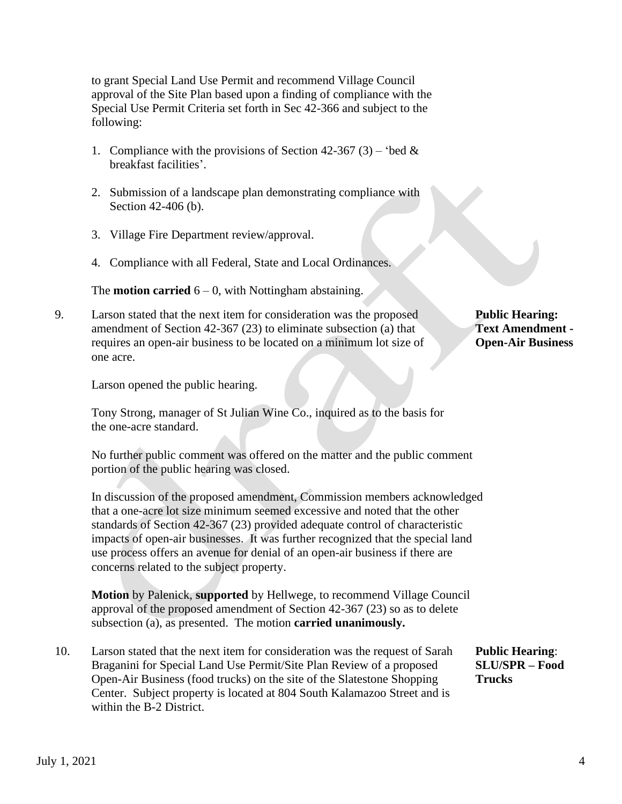to grant Special Land Use Permit and recommend Village Council approval of the Site Plan based upon a finding of compliance with the Special Use Permit Criteria set forth in Sec 42-366 and subject to the following:

- 1. Compliance with the provisions of Section 42-367 (3) 'bed  $&$ breakfast facilities'.
- 2. Submission of a landscape plan demonstrating compliance with Section 42-406 (b).
- 3. Village Fire Department review/approval.
- 4. Compliance with all Federal, State and Local Ordinances.

The **motion carried**  $6 - 0$ , with Nottingham abstaining.

9. Larson stated that the next item for consideration was the proposed **Public Hearing:** amendment of Section 42-367 (23) to eliminate subsection (a) that **Text Amendment**  requires an open-air business to be located on a minimum lot size of **Open-Air Business** one acre.

Larson opened the public hearing.

 Tony Strong, manager of St Julian Wine Co., inquired as to the basis for the one-acre standard.

 No further public comment was offered on the matter and the public comment portion of the public hearing was closed.

 In discussion of the proposed amendment, Commission members acknowledged that a one-acre lot size minimum seemed excessive and noted that the other standards of Section 42-367 (23) provided adequate control of characteristic impacts of open-air businesses. It was further recognized that the special land use process offers an avenue for denial of an open-air business if there are concerns related to the subject property.

 **Motion** by Palenick, **supported** by Hellwege, to recommend Village Council approval of the proposed amendment of Section 42-367 (23) so as to delete subsection (a), as presented. The motion **carried unanimously.**

10. Larson stated that the next item for consideration was the request of Sarah **Public Hearing**: Braganini for Special Land Use Permit/Site Plan Review of a proposed **SLU/SPR – Food** Open-Air Business (food trucks) on the site of the Slatestone Shopping **Trucks** Center. Subject property is located at 804 South Kalamazoo Street and is within the B-2 District.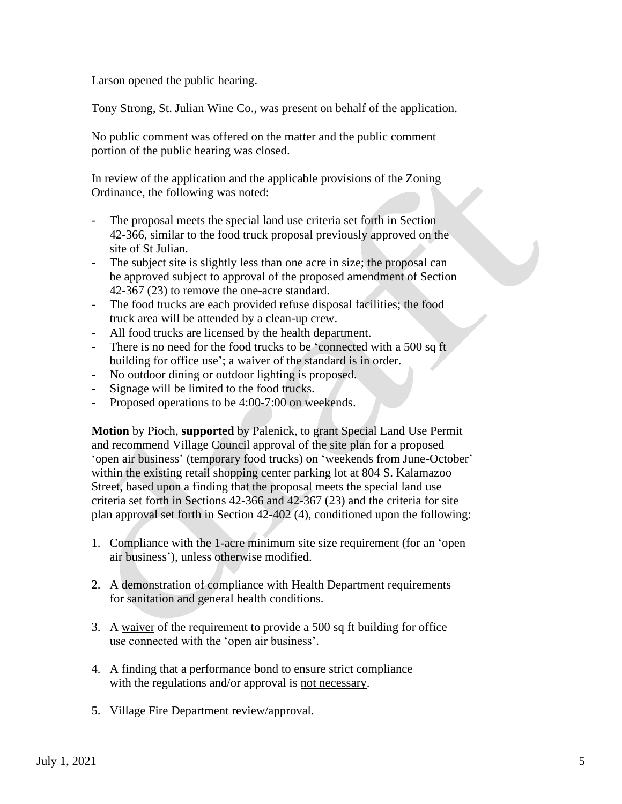Larson opened the public hearing.

Tony Strong, St. Julian Wine Co., was present on behalf of the application.

 No public comment was offered on the matter and the public comment portion of the public hearing was closed.

 In review of the application and the applicable provisions of the Zoning Ordinance, the following was noted:

- The proposal meets the special land use criteria set forth in Section 42-366, similar to the food truck proposal previously approved on the site of St Julian.
- The subject site is slightly less than one acre in size; the proposal can be approved subject to approval of the proposed amendment of Section 42-367 (23) to remove the one-acre standard.
- The food trucks are each provided refuse disposal facilities; the food truck area will be attended by a clean-up crew.
- All food trucks are licensed by the health department.
- There is no need for the food trucks to be 'connected with a 500 sq ft building for office use'; a waiver of the standard is in order.
- No outdoor dining or outdoor lighting is proposed.
- Signage will be limited to the food trucks.
- Proposed operations to be 4:00-7:00 on weekends.

 **Motion** by Pioch, **supported** by Palenick, to grant Special Land Use Permit and recommend Village Council approval of the site plan for a proposed 'open air business' (temporary food trucks) on 'weekends from June-October' within the existing retail shopping center parking lot at 804 S. Kalamazoo Street, based upon a finding that the proposal meets the special land use criteria set forth in Sections 42-366 and 42-367 (23) and the criteria for site plan approval set forth in Section 42-402 (4), conditioned upon the following:

- 1. Compliance with the 1-acre minimum site size requirement (for an 'open air business'), unless otherwise modified.
- 2. A demonstration of compliance with Health Department requirements for sanitation and general health conditions.
- 3. A waiver of the requirement to provide a 500 sq ft building for office use connected with the 'open air business'.
- 4. A finding that a performance bond to ensure strict compliance with the regulations and/or approval is not necessary.
- 5. Village Fire Department review/approval.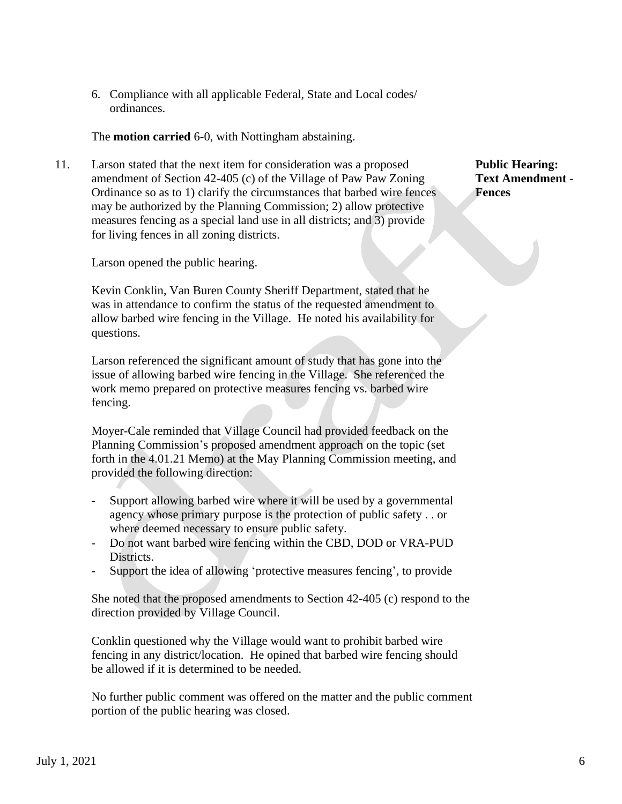6. Compliance with all applicable Federal, State and Local codes/ ordinances.

The **motion carried** 6-0, with Nottingham abstaining.

11. Larson stated that the next item for consideration was a proposed **Public Hearing:** amendment of Section 42-405 (c) of the Village of Paw Paw Zoning **Text Amendment** - Ordinance so as to 1) clarify the circumstances that barbed wire fences **Fences**  may be authorized by the Planning Commission; 2) allow protective measures fencing as a special land use in all districts; and 3) provide for living fences in all zoning districts.

Larson opened the public hearing.

 Kevin Conklin, Van Buren County Sheriff Department, stated that he was in attendance to confirm the status of the requested amendment to allow barbed wire fencing in the Village. He noted his availability for questions.

 Larson referenced the significant amount of study that has gone into the issue of allowing barbed wire fencing in the Village. She referenced the work memo prepared on protective measures fencing vs. barbed wire fencing.

 Moyer-Cale reminded that Village Council had provided feedback on the Planning Commission's proposed amendment approach on the topic (set forth in the 4.01.21 Memo) at the May Planning Commission meeting, and provided the following direction:

- Support allowing barbed wire where it will be used by a governmental agency whose primary purpose is the protection of public safety . . or where deemed necessary to ensure public safety.
- Do not want barbed wire fencing within the CBD, DOD or VRA-PUD Districts.
- Support the idea of allowing 'protective measures fencing', to provide

 She noted that the proposed amendments to Section 42-405 (c) respond to the direction provided by Village Council.

 Conklin questioned why the Village would want to prohibit barbed wire fencing in any district/location. He opined that barbed wire fencing should be allowed if it is determined to be needed.

No further public comment was offered on the matter and the public comment portion of the public hearing was closed.